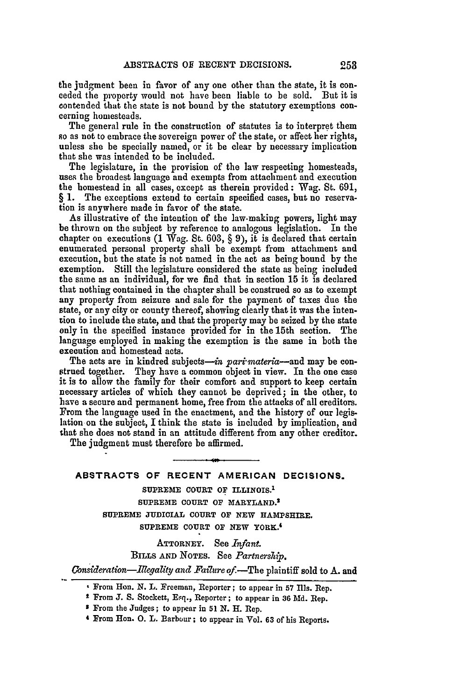the judgment been in favor of any one other than the state, it is conceded the property would not have been liable to be sold. But it is contended that the state is not bound **by** the statutory exemptions concerning homesteads.

The general rule in the construction of statutes is to interpret them so as not to embrace the sovereign power of the state, or affect her rights, unless she be specially named, or it be clear **by** necessary implication that she was intended to be included.

The legislature, in the provision of the law respecting homesteads, uses the broadest language and exempts from attachment and execution the homestead in all cases, except as therein provided **:** Wag. St. 691, § 1. The exceptions extend to certain specified cases, but no reserva- tion is anywhere made in favor of the state.

As illustrative of the intention of the law-making powers, light may be thrown on the subject by reference to analogous legislation. In the chapter on executions (1 Wag. St. 603, § 9), it is declared that certain enumerated personal property shall be exempt from attachment and execution, but the state is not named in the act as being bound by the exemption. Still the legislature considered the state as being included the same as an individual, for we find that in section **15** it is declared that nothing contained in the chapter shall be construed so as to exempt any property from seizure and sale for the payment of taxes due the state, or any city or county thereof, showing clearly that it was the intention to include the state, and that the property may be seized by the state only in the specified instance provided for in the 15th section. The language employed in making the exemption is the same in both the execution and homestead acts.

The acts are in kindred subjects—in part materia--and may be construed together. They have a common object in view. In the one case it is to allow the family for their comfort and support to keep certain necessary articles of which they cannot be deprived; in the other, to have a secure and permanent home, free from the attacks of all creditors. From the language used in the enactment, and the history of our legislation on the subject, I think the state is included by implication, and that she does not stand in an attitude different from any other creditor.

The judgment must therefore be affirmed.

# **ABSTRACTS OF RECENT AMERICAN DECISIONS.**

**SUPREME COURT OF ILLINOIS.' SUPREME COURT OF MARYLAND. <sup>2</sup> SUPREME JUDICIAL COURT OF NEW HAMPSHIRE. SUPREME COURT OF NEW YORK. <sup>4</sup>**

**ATTORNEY.** See *Infant.* BILLS **AND NOTES.** See *Partnership. Consideration-llegality and Failure* of.-The plaintiff sold to A. and

**4** From **HEon. 0. L.** Barbour; to appear in Vol. **63** of his Reports.

From Hon. **N.** L. Freeman, Reporter; to appear in **57 Ills.** Rep.

t From **J. S.** Stockett, Esq., Reporter; to appear in **36 Md.** Rep.

**S** From the Judges; to appear in **51 N. H.** Rep.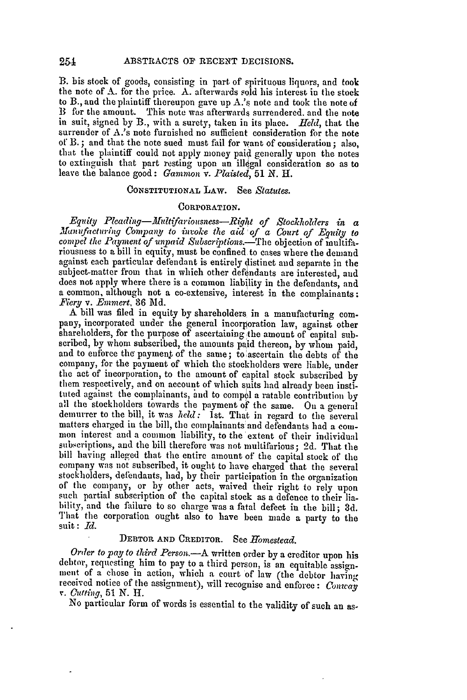B. his stock of goods, consisting in part of spirituous liquors, and took the note of **A.** for the price. A. afterwards sold his interest in the stock to B., and the plaintiff thereupon gave up **A.'s** note and took the note of B for the amount. This note was afterwards surrendered, and the note in suit, signed by B., with a surety, taken in its place. *Held,* that the surrender of A.'s note furnished no sufficient consideration for the note or B. **;** and that the note sued must fiil for want of consideration; also, that the plaintiff could not apply money paid generally upon the notes to extinguish that part resting upon an illegal consideration so as to leave the balance good: *Gammon v. Plaisted, 51* **N.** *H.*

## CONSTITUTIONAL LAW. See *Statutes.*

### CORPORATION.

*Equity Pleading-Multifariousness-Right of Stockholders in a Munufacturing Company to invoke the aid of a Court of Equity to compel the Payment of unpaid Subscriptions.-The objection of multifa*riousness to a bill in equity, must be confined to cases where the demand against each particular defendant is entirely distinct and separate in the subject-matter from that in which other defendants are interested, and does not apply where there is a common liability in the defendants, and a common, although not a co-extensive, interest in the complainants: *Fiery* v. *Emmert,* **36 Md.**

A bill was filed in equity by shareholders in a manufacturing company, incorporated under the general incorporation law, against other shareholders, for the purpose of ascertaining the amount of capital subscribed, by whom subscribed, the amounts paid thereon, by whom paid, and to enforce the payment of the same; to ascertain the debts of the company, for the payment of which the stockholders were liable, under the act of incorporation, to the amount of capital stock subscribed by them respectively, and on account of which suits had already been instituted against the complainants, and to compel a ratable contribution by all the stockholders towards the payment of the same. On a general demurrer to the bill, it was *held*: Ist. That in regard to the several matters charged in the bill, the complainants and defendants had a com-<br>mon interest and a common liability, to the extent of their individual subscriptions, and the bill therefore was not multifarious; 2d. That the bill having alleged that the entire amount of the capital stock of the company was not subscribed, it ought to have charged that the several stockholders, defendants, had, by their participation in the organization of the company, or by other acts, waived their right to rely upon such partial subscription of the capital stock as a defence to their liability, and the failure to so charge was a fatal defect in the bill; 3d. That the corporation ought also to have been made a party to the suit: *Id.*

## DEBTOR AND CREDITOR. See *Homestead*.

*Order to pay to third Person.-A* written order **by** a creditor upon his debtor, requesting him to pay to a third person, is an equitable assignment of a chose in action, which a court of law (the debtor having received notice of the assignment), will recognise and enforce **:** *Conway v. Cutfing,* 51 *N.* H.

No particular form of words is essential to the validity of such an as-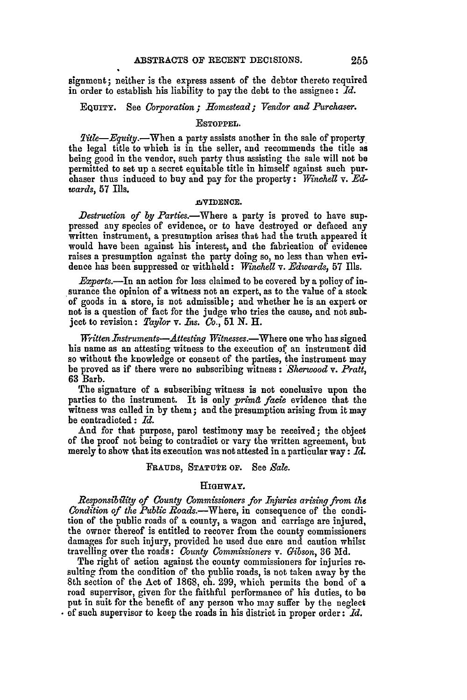signment; neither is the express assent of the debtor thereto required in order to establish his liability to pay the debt to the assignee: *Id.*

**EQUITY.** See *Corporation; Homestead; Vendor and Purchaser.*

#### ESTOPPEL.

Title-Equity.-When a party assists another in the sale of property the legal title to which is in the seller, and recommends the title as being good in the vendor, such party thus assisting the sale will not be permitted to set up a secret equitable title in himself against such purchaser thus induced to buy and pay for the property: *Winchell v. Edwards,* 57 Ills.

#### .ThIDENCE.

*Destruction of by Parties.*—Where a party is proved to have suppressed any species of evidence, or to have destroyed or defaced any written instrument, a presumption arises that had the truth appeared it would have been against his interest, and the fabrication of evidence raises a presumption against the party doing so, no less than when evidence has been suppressed or withheld: *Winchell* v. *Edwards,* 57 Ills.

*Experts.*—In an action for loss claimed to be covered by a policy of in-<br>surance the opinion of a witness not an expert, as to the value of a stock of goods in a store, is not admissible; and whether he is an expert or not is a question of fact for the judge who tries the cause, and not sub**ject** to revision: *Taylor v. Ins. Co.,* 51 N. H.

*Written Instruments—Attesting Witnesses.*—Where one who has signed his name as an attesting witness to the execution of an instrument did so without the knowledge or consent of the parties, the instrument may be proved as if there were no subscribing witness : *Sherwood v. Pratt,* 63 Barb.

The signature of a subscribing witness is not conclusive upon the parties to the instrument. It is only *prima facie* evidence that the witness was called in by them; and the presumption arising from it may be contradicted : *Id.*

And for that purpose, parol testimony may be received; the object of the proof not being to contradict or vary the written agreement, but merely to show that its execution was not attested in a particular way: *Id.*

#### FRAUDS, **STATUTE OF.** See *Sale.*

## HIGHWAY.

*Responsibility of County Commissioners for Injuries arising from the Condition of the Public Roads.*—Where, in consequence of the condition of the public roads of a county, a wagon and carriage are injured, the owner thereof is entitled to recover from the county commissioners damages for such injury, provided he used due care and caution whilst travelling over the roads: *County Commissioners v. Gibson,* **36 Md.**

The right of action against the county commissioners for injuries **re.** sulting from the condition of the public roads, is not taken away by the 8th section of the Act of 1868, ch. 299, which permits the bond of a road supervisor, given for the faithful performance of his duties, to be put in suit for the benefit of any person who may suffer by the neglect **of** such supervisor to keep the roads in his district in proper order: *Id.*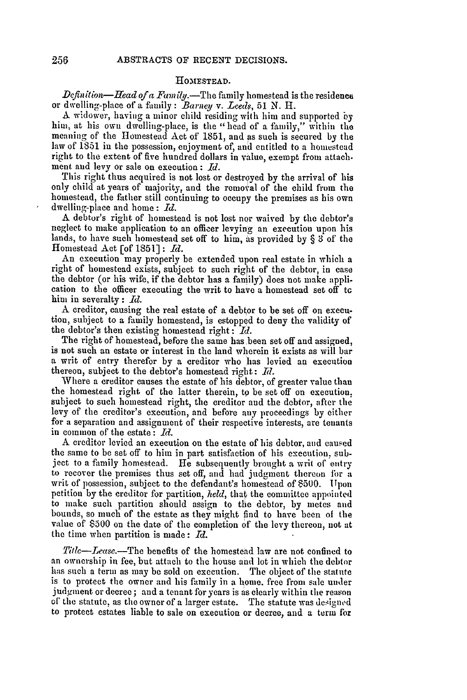#### **HOMESTEAD.**

Defin *ition-Head of a Fam* ily.-The family homestead is the residence or dwelling-place of a family: *Barn e1 v. Leeds,* 51 N. H.

A widower, having a minor child residing with him and supported by hiin, at his own dwelling-place, is the "head of a faimily," within the meaning of the Homestead Act of 1851, and as such is secured by the law of **1851** in the possession, enjoyment of, and entitled to a homestead right to the extent of five hundred dollars in value, exempt from attachment aud levy or sale on execution: *Id.*

This right thus acquired is not lost or destroyed by the arrival of his only child at years of majority, and the removal of the child from the homestead, the father still continuing to occupy the premises as his own dwelling-place and home: *Id.*

A debtor's right of homestead is not lost nor waived by the debtor's neglect to make application to an officer levying an execution upon his lands, to have such homestead set off to him, as provided by § 3 of the Homestead Act [of 1851]: *Id.*

An execution may properly be extended upon real estate in which a right of homestead exists, subject to such right of the debtor, in case the debtor (or his wife, if the debtor has a faamily) does not make application to the officer executing the writ to have a homestead set off tc him in severalty: *Id.*

A creditor, causing the real estate of a debtor to be set off on execu- tion, subject to a family homestead, is estopped to deny the validity of the debtor's then existing homestead right : *Md.*

The right of homestead, before the same has been set off and assigned, is not such an estate or interest in the land wherein it exists as will bar a writ of entry therefor by a creditor who has levied an execution thereon, subject to the debtor's homestead right: Id.

Where a creditor causes the estate of his debtor, of greater value than the homestead right of the latter therein, to be set off on execution. subject to such homestead right, the creditor and the debtor, after the levy of the creditor's execution, and before any proceedings by either for a separation and assignment of their respective interests, are tenants in common of the estate: *Id.*

**A** creditor levied an execution on the estate of his debtor, and caused the same to be set off to him in part satisfaction of his execution, subject to a family homestead. He subsequently brought a writ of entry to recover the premises thus set off, and had judgment thereon fbr a writ of possession, subject to the defendant's homestead of **\$500.** Upon petition by the creditor for partition, *held,* that the committee appointed to make such partition should assign to the debtor, by metes and bounds, so much of the estate as they might find to have been of the value of \$500 on the date of the completion of the levy thereon, not at the time when partition is made: *Id.*

*Titlc-Lease.-The* benefits of the homestead law are not confined to an ownership in fee, but attach to the house and lot in which the debtor has such a term as may be sold on execution. The object of the statute is to protect the owner and his family in a lome. free fron sale under judgment or decree; and a tenant for years is as clearly within the reason of' the statute, as the owner of a larger estate. The statute was designed to protect estates liable to sale on execution or decree, and a term for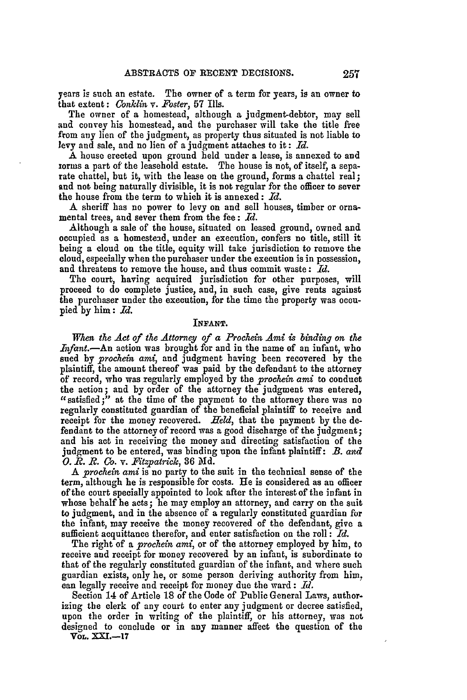years is such an estate. The owner of a term for years, is an owner to that extent: *Conklin v. Foster,* **57** Ills.

The owner of a homestead, although a judgment-debtor, may sell and convey his homestead, and the purchaser will take the title free from any lien of the judgment, as property thus situated is not liable to levy and sale, and no lien of a judgment attaches to it: *Id.*

A house erected upon ground held under a lease, is annexed to and iorms a part of the leasehold estate. The house is not, of itself, a separate chattel, but it, with the lease on the ground, forms a chattel real; and not being naturally divisible, it is not regular for the officer to sever the house from the term to which it is annexed: *Id.*

A sheriff has no power to levy on and sell houses, timber or ornamental trees, and sever them from the fee: *Id.*

Although a sale of the house, situated on leased ground, owned and occupied as a homestead, under an execution, confers no title, still it being a cloud on the title, equity will take jurisdiction to remove the cloud, especially when the purchaser under the execution is in possession, and threatens to remove the house, and thus commit waste: *Id.*

The court, having acquired jurisdiction for other purposes, will proceed to do complete justice, and, in such case, give rents against the purchaser under the execution, for the time the property was occupied **by** him: *Id.*

## INFANT.

When the *Act of* the *Attorney of a Prochein Ami* is binding *on* the *Infant.*—An action was brought for and in the name of an infant, who sued by *prochein ami,* and judgment having been recovered **by** the plaintiff, the amount thereof was paid **by** the defendant to the attorney of record, who was regularly employed **by** the *prochein ami* to conduct the action **;** and by order of the attorney the judgment was entered,  $\alpha$  satisfied;" at the time of the payment to the attorney there was no regularly constituted guardian of the beneficial plaintiff to receive and receipt for the money recovered. *Held,* that the payment **by** the defendant to the attorney of record was a good discharge of the judgment; and his act in receiving the money and directing satisfaction of the judgment to be entered, was binding upon the infant plaintiff: *B. and 0.1R. R.* Co. *v. FUtzpatrick,* **36 Md.**

A *prochein ami* is no party to the suit in the technical sense of the term, although he is responsible for costs. He is considered as an officer of the court specially appointed to look after the interest of the infant in whose behalf he acts; he may employ an attorney, and carry on the suit to judgment, and in the absence of a regularly constituted guardian for the infant, may receive the money recovered of the defendant, give a sufficient acquittance therefor, and enter satisfaction on the roll : *Id.*

The right of a *prochein ami,* or of the attorney employed by him, to receive and receipt for money recovered by an infant, is subordinate to that of the regularly constituted guardian of the infant, and where such guardian exists, only he, or some person deriving authority from him, can legally receive and receipt for money due the ward: *Id.*

Section 14 of Article **18** of the Code of Public General Laws, authorizing the clerk of any court to enter any judgment or decree satisfied, upon the order in writing of the plaintiff, or his attorney, was not designed to conclude or in any manner affect the question of the

**VOL.** XXI.-17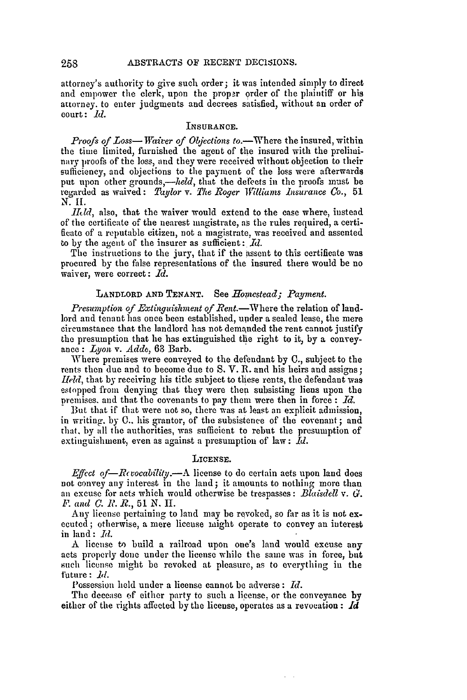attorney's authority to give such order; it was intended simply to direct and empower the clerk, upon the proper order of the plaintiff or his attorney, to enter judgments and decrees satisfied, without an order of court: *id.*

## **INSURANCE.**

*Proofs of Loss*—*Waiver of Objections to.*—Where the insured, within the time limited, furnished the agent of the insured with the preliminary proofs of the loss, and they were received without objection to their sufficiency, and objections to the payment of the loss were afterwards put upon other grounds,-held, that the defects in the proofs must be regarded as waived: *Taylor v. The Roger Williams insurance Co.,* 51 N. *11.*

*IIId*, also, that the waiver would extend to the case where, instead of the certificate of the nearest magistrate, as the rules required, a certificate of a reputable citizen, not a magistrate, was received and assented to by the agent of the insurer as sufficient: *Id.*

The instructions to the jury, that if the assent to this certificate was procured by the false representations of the insured there would be no waiver, were correct: *Id.*

#### LANDLORD AND TENANT. See *Homestead; Payment.*

*Presumption of Extinguishment of Rent.*—Where the relation of landlord and tenant has once been established, under a sealed lease, the mere circumstance that the landlord has not demanded the rent cannot justify the presumption that lie has extinguished the right to it, by a conveyance: *Lyon,* v. *Adde,* 63 Barb.

Where premises were conveyed to the defendant **by C.,** subject to the rents then due and to become due to S. V. R. and his heirs and assigns; *Held,* that by receiving his title subject to these rents, the defendant was estopped from denying that they were then subsisting liens upon the premises, and that the covenants to pay them were then in force : *Id.*

But that if that were not so, there was at least an explicit admission, in writing. by 0.. his grantor, of the subsistence of the covenant ; and that, by all the authorities, was sufficient to rebut the presumption of extinguishment, even as against a presumption of law: *Id.*

#### LICENSE.

*Effect of—Rcvocability.*—A license to do certain acts upon land does not convey any interest in the land; it amounts to nothing more than an excuse for acts which would otherwise be trespasses : *Blaisdell v. G. . and C. R. R.,* 51 N. II.

Any license pertaining to land may be revoked, so far as it is not executed; otherwise, a mere license might operate to convey an interest in land: *Id.*

A license **to** build a railroad upon one's land would excuse any acts properly done under the license while the same was in force, but such license might **be** revoked at pleasure, as to everything in the future: *id.*

Possession held under a license cannot be adverse: *Id.*

The decease of either party to such a license, or the conveyance by either of the rights affected by the license, operates as a revocation **:** *Id*

258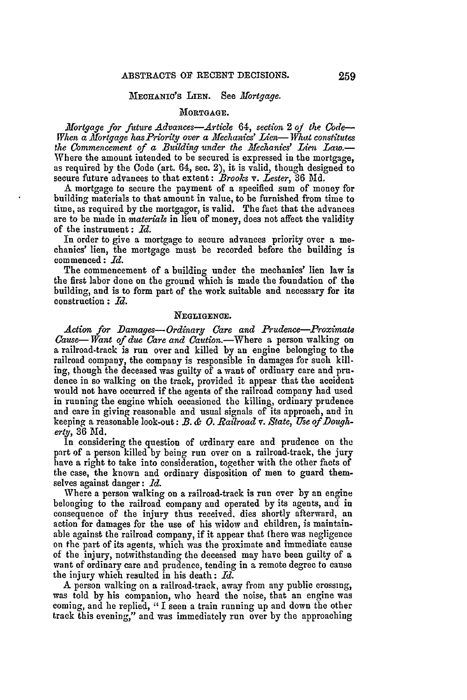#### MECHANIC'S LIEN. See *Hortgage.*

#### **MORTGAGE.**

*Mortgage for future Advances-Article 64, section 2 of the Code-When a Mortgage has Priority over a Mechanics' Lien-What constitutes the Commencement of a Building under the iMechanics' Lien Law.-* Where the amount intended to be secured is expressed in the mortgage, as required by the Code (art. 64, see. 2), it is valid, though designed to secure future advances to that extent: *Brooks* v. *Lester,* 36 Md.

**A** mortgage to secure the payment of a specified sum of money for building materials to that amount in value, to be furnished from time to time, as required **by** the mortgagor, is valid. The fact that the advances are to be made in *materials* in lieu of money, does not affect the validity of the instrument: *Id.*

In order to give a mortgage to secure advances priority over a me- chanics' lien, the mortgage must be recorded before the building is commenced: *d.*

The commencement of a building under the mechanics' lien law is the first labor done on the ground which is made the foundation of the building, and is to form part of the work suitable and necessary for its construction **:** *Id.*

## **NEGLIGENCE.**

*Action for Damages- Ordinary Care and Prudence-Proximat Cause- Want of due Care and* Caution.-Where a person walking on a railroad-track is run over and killed by an engine belonging to the railroad company, the company is responsible in damages for such killing, though the deceased was guilty of a want of ordinary care and prudence in so walking on the track, provided it appear that the accident would not have occurred if the agents of the railroad company had used in running the engine which occasioned the killing, ordinary prudence and care in giving reasonable and usual signals of its approach, and in keeping a reasonable look-out: B. *& 0. Railroad* v. *State, Use of Dougherty,* 36 **Md.**

In considering the question of ordinary care and prudence on the part of a person killed by being run over on a railroad-track, the jury have a right to take into consideration, together with the other facts of the case, the known and ordinary disposition of men to guard themselves against danger: *Id.*

Where a person walking on a railroad-track is run over by an engine belonging to the railroad company and operated by its agents, and in consequence of the injury thus received, dies shortly afterward, an action for damages for the use of his widow and children, is maintainable against the railroad company, if it appear that there was negligence on the part of its agents, which was the proximate and immediate cause of the injury, notwithstanding the deceased may have been guilty of a want of ordinary care and prudence, tending in a remote degree to cause the injury which resulted in his death: *Id.*

A person walking on a railroad-track, away from any public crossing, was told by his companion, who heard the noise, that an engine was coming, and he replied, **"I** seen a train running up and down the other track this evening," and was immediately run over by the approaching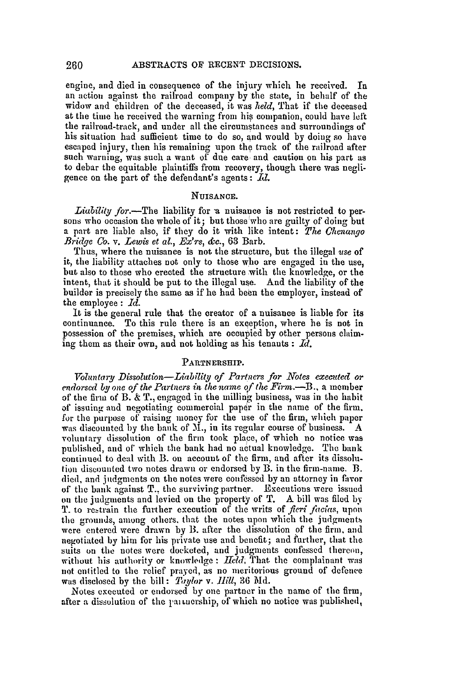engine, and died in consequence of the injury which he received. **In** an action against the railroad company by the state, in behalf of the widow and children of the deceased, it was *held,* That if the deceased at the time he received the warning from his companion, could have left the railroad-track, and under all the circumstances and surroundings of his situation had sufficient time to do so, and would by doing so have escaped injury, then his remaining upon the track of the railroad after such warning, was such a want of due care and caution on his part as to debar the equitable plaintiffs from recovery, though there was negligence on the part of the defendant's agents:  $Id.$ 

## **NUISANCE.**

*Liability* for.--The liability for a nuisance is not restricted to per-<br>sons who occasion the whole of it; but those who are guilty of doing but a part are liable also, if they do it with like intent: *The Chenanyo Bridge* Co. *v. Lewis et al., Ex'rs, &c.,* 63 Barb.

Thus, where the nuisance is not the structure, but the illegal *'use* of it, the liability attaches not only to those who are engaged in the use, but also to those who erected the structure with the knowledge, or the intent, that it should be put to the illegal use. **And** the liability of the builder is precisely the same as if he had been the employer, instead of the employee **:** *Id.*

It is the general rule that the creator of a nuisance is liable for its continuance. To this rule there is an exception, where he is not in possession of the premises, which are occupied by other persons claiming them as their own, and not holding as his tenants **:** Id.

## **PARTNERSHIP.**

*Troluntary Dissolution-Liability of Partners for Notes execated or endorsed by one of the Partners in the name of the Firm.-B.,* a member of the firm of B.  $\&$  T., engaged in the milling business, was in the habit of issuing and negotiating commercial paper in the name of the firm. for the purpose of raising money for the use of the firm, which paper was discounted by the bank of M., in its regular course of business. A voluntary dissolution of the firm took place, of which no notice was published, and of' which the bank had no actual knowledge. The bank continued to deal with B. on account of the firm, and after its dissolution discounted two notes drawn or endorsed by B. in the firm-name. B. died, and judgments on the notes were confessed by an attorney in favor of the bank against **T.,** the surviving partner. Executions were issued on the judgments and levied on the property of T. A bill was filed by T. to restrain the further execution of the writs of *fieri facias*, upon the grounds, among others, that the notes upon which the judgments were entered were drawn by B. after the dissolution of the firm, and negotiated by him for his private use and benefit; and further, that the suits on the notes were docketed, and judgments confessed thercon, without his authority or knowledge: Held. That the complainant was not entitled to the relief prayed, as no meritorious ground of defence was disclosed by the bill: *Taylor v. Hill*, 36 Md.

Notes executed or endorsed by one partner in the name of the firm, after a dissolution of the partnership, of which no notice was published,

260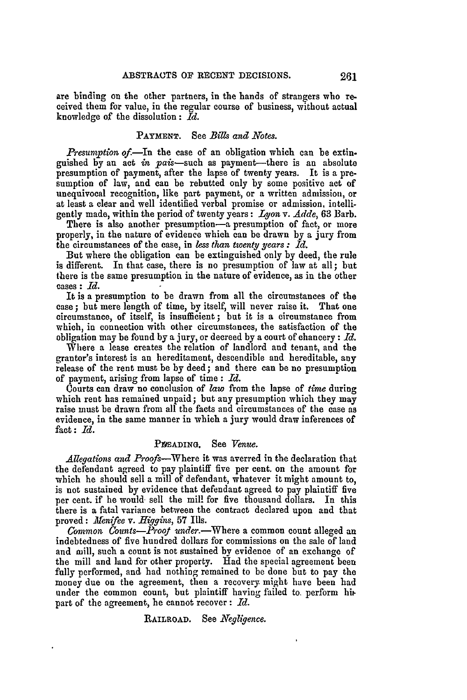are binding on the other partners, in the hands of strangers who received them for value, in the regular course of business, without actual knowledge of the dissolution: *Id.*

#### **PAYMENT.** See *Bils and Notes.*

*Presumption of.*—In the case of an obligation which can be extinguished by an act in pais-such as payment-there is an absolute presumption of payment, after the lapse of twenty years. It is a presumption of law, and can be rebutted only **by** some positive act of unequivocal recognition, like part payment, or a written admission, or at least a clear and well identified verbal promise or admission, intelligently made, within the period of twenty years: *Lyon* v. *Adde,* **63** Barb.

There is also another presumption-a presumption of fact, or more properly, in the nature of evidence which can be drawn **by** a jury from the circumstances of the case, in *less than twenty years : Id.*

But where the obligation can be extinguished only **by** deed, the rule is different. In that case, there is no presumption of law at all; but there is the same presumption in the nature of evidence, as in the other cases: *Id.*

It is a presumption to be drawn from all the circumstances of the case; but mere length of time, **by** itself, will never raise it. That one circumstance, of itself, is insufficient **; but** it is a circumstance from which, in connection with other circumstances, the satisfaction of the obligation may be found by a jury, or decreed by a court of chancery:  $Id$ .

Where a lease creates the relation of landlord and tenant, and the grantor's interest is an hereditament, descendible and hereditable, any release of the rent must be **by** deed; and there can be no presumption of payment, arising from lapse of time: *Id.*

Courts can draw no conclusion of *law* from the lapse of *time* during which rent has remained unpaid; but any presumption which they may raise must be drawn from all the facts and circumstances of the case as evidence, in the same manner in which a jury would draw inferences of fact: *Id.*

## PWADING. See *Venue.*

*Allegations and Proofs-Where* it was averred in the declaration that the defendant agreed to pay plaintiff five per cent. on the amount for which he should sell a mill of defendant, whatever it might amount to, is not sustained by evidence that defendant agreed to pay plaintiff five per cent. if he would sell the mill for five thousand dollars. In this there is a fatal variance between the contract declared upon and that proved: *Meifee v. Higgins,* **57** Ills.

Common Counts-Proof under.-Where a common count alleged an indebtedness of five hundred dollars for commissions on the sale of land and mill, such a count is not sustained by evidence of an exchange of the mill and land for other property. Had the special agreement been fully performed, and had nothing remained to be done but to pay the money due on the agreement, then a recovery might have been had under the common count, but plaintiff having failed to. perform hi part of the agreement, he cannot recover **:** *Id.*

## **RAILROAD.** See *Negligence.*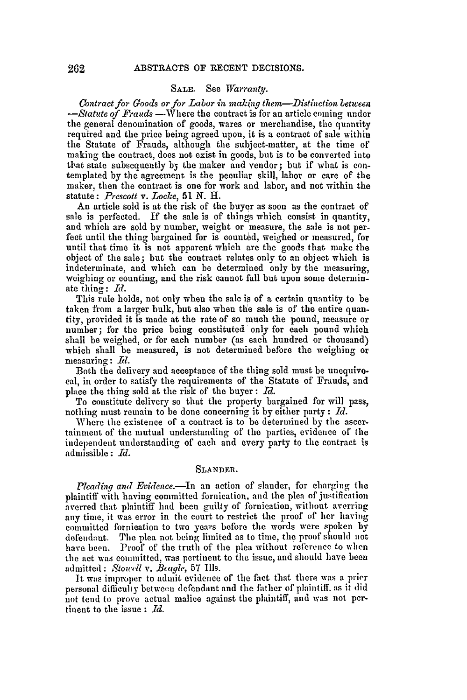#### SALE. See *Warranty.*

*Contract for Goods or for Labor in making them-Distinction between -Statute of Frauds* -Where the contract is for an article coming under the general denomination of goods, wares or merchandise, the quantity required and the price being agreed upon, it is a contract of sale within the Statute of Frauds, although the subject-matter, at the time of making the contract, does not exist in goods, but is to be converted into that state subsequently *b5* the maker and vendor; but if what is contemplated by the agreement is the peculiar skill, labor or care of the maker, then the contract is one for work and labor, and not within the statute : *Prescott v. Locke, 51 N.* H.

An article sold is at the risk of the buyer as soon as the contract of sale is perfected. If the sale is of things which consist in quantity, and which are sold by number, weight or measure, the sale is not perfect until the thing bargained for is counted, weighed or measured, for until that time it is not apparent which are the goods that make the object of the sale; but the contract relates only to an object which is indeterminate, and which can be determined only by the measuring weighing or counting, and the risk cannot fall but upon some determinate thing: *Id.* 

This rule holds, not only when the sale is of a certain quantity to be taken from a larger bulk, but also when the sale is of the entire quantity, provided it is made at the rate of so much the pound, measure or number; for the price being constituted only for each pound which shall be weighed, or for each number (as each hundred or thousand) which shall be measured, is not determined before the weighing or measuring: *Id.*

Both the delivery and acceptance of the thing sold must be unequivocal, in order to satisfy the requirements of the Statute of Frauds, and place the thing sold at the risk of the buyer: *Id.*

To constitute delivery so that the property bargained for will pass, nothing must remain to be done concerning it by either party : *Md.*

Where the existence of a contract is to be determined by the ascertainment of the mutual understanding of the parties, evidence of the independent understanding of each and every party to the contract is admissible : *Id.*

#### SLANDER.

Pleading and Evidence.-In an action of slander, for charging the plaintiff with having committed fornication, and the plea of justification averred that plaintiff had been guilty of fornication, without averring any time, it was error in the court to restrict the proof of her having committed fornication to two years before the words were spoken by defendant. The plea not being limited as to time, the proof should not have been. Proof of the truth of the plea without reference to when the act was committed, was pertinent to the issue, and should have been admitted : *Stowdl* v. *Buqle,* 57 Ills.

It was improper to admit evidence of the fact that there was a prier personal difficulty between defendant and the father of plaintiff. as it did not tend to prove actual malice against the plaintiff, and was not pertinent to the issue : *Id.*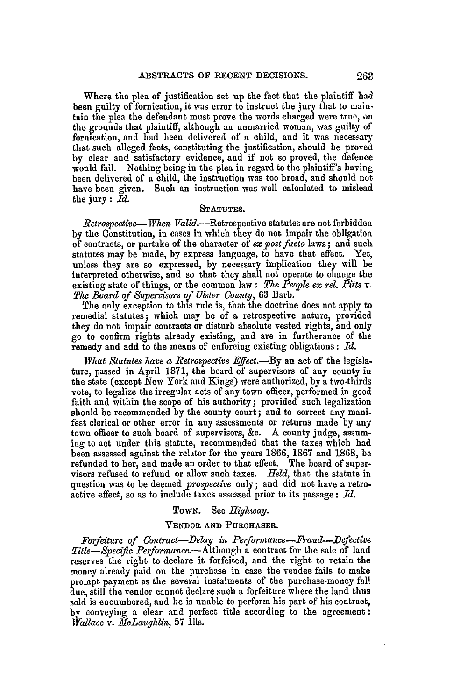Where the plea of justification set up the fact that the plaintiff had been guilty of fornication, it was error to instruct the jury that to maintain the plea the defendant must prove the words charged were true, on the grounds that plaintiff, although an unmarried woman, was guilty of fornication, and had been delivered of a child, and it was necessary that such alleged facts, constituting the justification, should be proved by clear and satisfactory evidence, and if not so proved, the defence would fail. Nothing being in the plea in regard to the plaintiff's having been delivered of a child, the instruction was too broad, and should not have been given. Such an instruction was well calculated to mislead the jury: *Id.*

## **STATUTES.**

*Retrospective-- When* Valid.--Retrospective statutes are not forbidden **by** the Constitution, in cases in which they do not impair the obligation of contracts, or partake of the character of *ex post facto* laws; and such statutes may be made, **by** express language, to have that effect. Yet, unless they are so expressed, by necessary implication they will be interpreted otherwise, and so that they shall not operate to change the existing state of things, or the common law : The People ex rel. Pitts v. *The Board of Supervisors of Ulster County,* **63** Barb.

The only exception to this rule is, that the doctrine does not apply to remedial statutes; which may be of a retrospective nature, provided they do not impair contracts or disturb absolute vested rights, and only go to confirm rights already existing, and are in furtherance of the remedy and add to the means of enforcing existing obligations: *Id.*

*What Statutes have a Retrospective Effect.*—By an act of the legislature, passed in April **1871,** the board of supervisors of any county in the state (except New York and Kings) were authorized, **by** a two-thirds vote, to legalize the irregular acts of any town officer, performed in good faith and within the scope of his authority; provided such legalization should be recommended by the county court; and to correct any manifest clerical or other error in any assessments or returns made **by** any town officer to such board of supervisors, **&c.** A county judge, assuming to act under this statute, recommended that the taxes which had been assessed against the relator for the years 1866, **1867** and 1868, be refunded to her, and made an order to that effect. The board of supervisors refused to refund or allow such taxes. *Held,* that the statute in question was to be deemed *prospective* only; and did not have a retro. active effect, so as to include taxes assessed prior to its passage: *Id.*

### TOWN. See *Highway.*

#### VENDOR **AND** PURCHASER.

*Forfeiture of Contract-Delay in Performane-Fraud-Defective Title-Specific Performane.-Although* a contract for the sale of land reserves the right to declare it forfeited, and the right to retain the money already paid on the purchase in case the vendee fails to make prompt payment as the several instalments of the purchase-money fall due, still the vendor cannot declare such a forfeiture where the land thus sold is encumbered, and he is unable to perform his part of his contract, by conveying a clear and perfect title according to the agreement: *Wallace* v. *XcLaughlin,* 57 Ills.